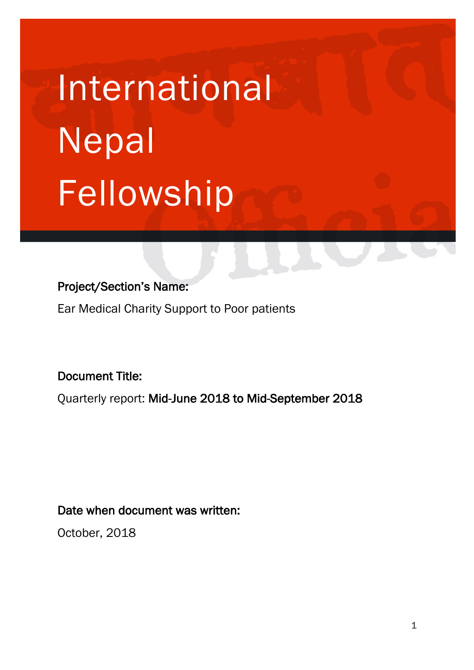# **International** Nepal Fellowship

## Project/Section's Name:

Ear Medical Charity Support to Poor patients

Document Title:

Quarterly report: Mid-June 2018 to Mid-September 2018

## Date when document was written:

October, 2018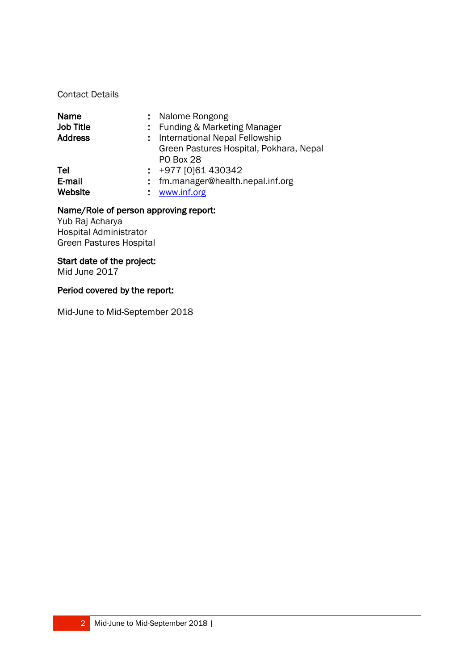Contact Details

| Name             | : Nalome Rongong                        |
|------------------|-----------------------------------------|
| <b>Job Title</b> | : Funding & Marketing Manager           |
| <b>Address</b>   | : International Nepal Fellowship        |
|                  | Green Pastures Hospital, Pokhara, Nepal |
|                  | <b>PO Box 28</b>                        |
| Tel              | $: +977$ [0]61 430342                   |
| E-mail           | : fm.manager@health.nepal.inf.org       |
| Website          | www.inf.org                             |

#### Name/Role of person approving report:

Yub Raj Acharya Hospital Administrator Green Pastures Hospital

#### Start date of the project:

Mid June 2017

#### Period covered by the report:

Mid-June to Mid-September 2018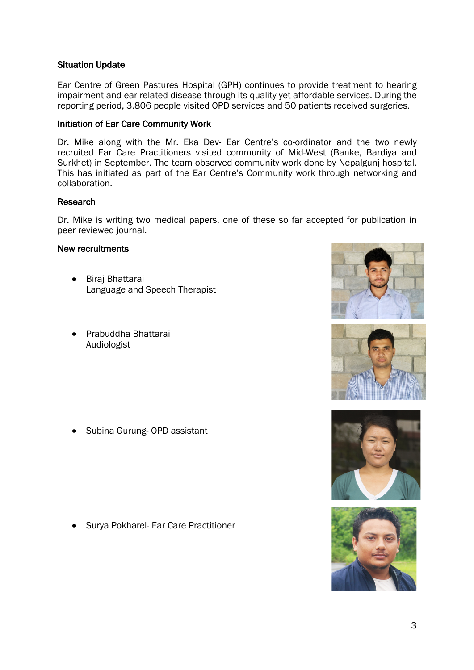#### Situation Update

Ear Centre of Green Pastures Hospital (GPH) continues to provide treatment to hearing impairment and ear related disease through its quality yet affordable services. During the reporting period, 3,806 people visited OPD services and 50 patients received surgeries.

#### Initiation of Ear Care Community Work

Dr. Mike along with the Mr. Eka Dev- Ear Centre's co-ordinator and the two newly recruited Ear Care Practitioners visited community of Mid-West (Banke, Bardiya and Surkhet) in September. The team observed community work done by Nepalgunj hospital. This has initiated as part of the Ear Centre's Community work through networking and collaboration.

#### Research

Dr. Mike is writing two medical papers, one of these so far accepted for publication in peer reviewed journal.

#### New recruitments

- Biraj Bhattarai Language and Speech Therapist
- Prabuddha Bhattarai Audiologist

• Subina Gurung- OPD assistant

• Surya Pokharel- Ear Care Practitioner







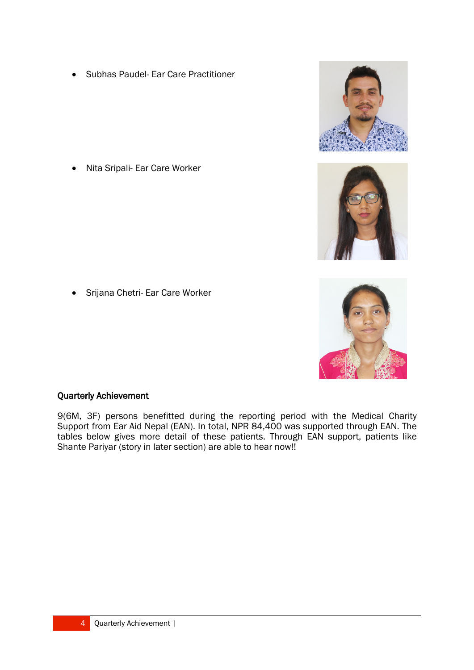• Subhas Paudel- Ear Care Practitioner



- 
- 
- Srijana Chetri- Ear Care Worker

• Nita Sripali- Ear Care Worker

## Quarterly Achievement

9(6M, 3F) persons benefitted during the reporting period with the Medical Charity Support from Ear Aid Nepal (EAN). In total, NPR 84,400 was supported through EAN. The tables below gives more detail of these patients. Through EAN support, patients like Shante Pariyar (story in later section) are able to hear now!!

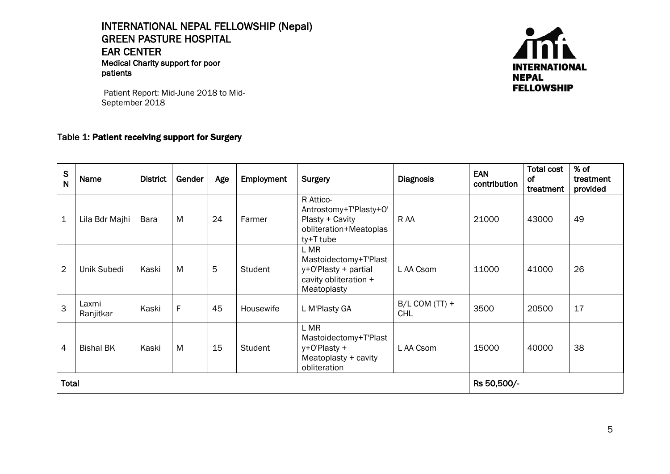INTERNATIONAL NEPAL FELLOWSHIP (Nepal) GREEN PASTURE HOSPITAL EAR CENTER<br>Medical Charity support for poor patients



Patient Report: Mid-June 2018 to Mid-September 2018

#### Table 1: Patient receiving support for Surgery

| ${\mathsf S}$<br>$\overline{\mathsf{N}}$ | Name               | <b>District</b> | Gender | Age | <b>Employment</b> | Surgery                                                                                       | <b>Diagnosis</b>               | <b>EAN</b><br>contribution | <b>Total cost</b><br>of<br>treatment | % of<br>treatment<br>provided |
|------------------------------------------|--------------------|-----------------|--------|-----|-------------------|-----------------------------------------------------------------------------------------------|--------------------------------|----------------------------|--------------------------------------|-------------------------------|
| $\mathbf 1$                              | Lila Bdr Majhi     | Bara            | M      | 24  | Farmer            | R Attico-<br>Antrostomy+T'Plasty+O'<br>Plasty + Cavity<br>obliteration+Meatoplas<br>ty+T tube | R AA                           | 21000                      | 43000                                | 49                            |
| $\overline{2}$                           | Unik Subedi        | Kaski           | M      | 5   | Student           | L MR<br>Mastoidectomy+T'Plast<br>y+O'Plasty + partial<br>cavity obliteration +<br>Meatoplasty | L AA Csom                      | 11000                      | 41000                                | 26                            |
| 3                                        | Laxmi<br>Ranjitkar | Kaski           | F      | 45  | Housewife         | L M'Plasty GA                                                                                 | $B/L$ COM (TT) +<br><b>CHL</b> | 3500                       | 20500                                | 17                            |
| $\overline{4}$                           | <b>Bishal BK</b>   | Kaski           | M      | 15  | Student           | L MR<br>Mastoidectomy+T'Plast<br>y+0'Plasty +<br>Meatoplasty + cavity<br>obliteration         | L AA Csom                      | 15000                      | 40000                                | 38                            |
| <b>Total</b>                             |                    |                 |        |     |                   |                                                                                               | Rs 50,500/-                    |                            |                                      |                               |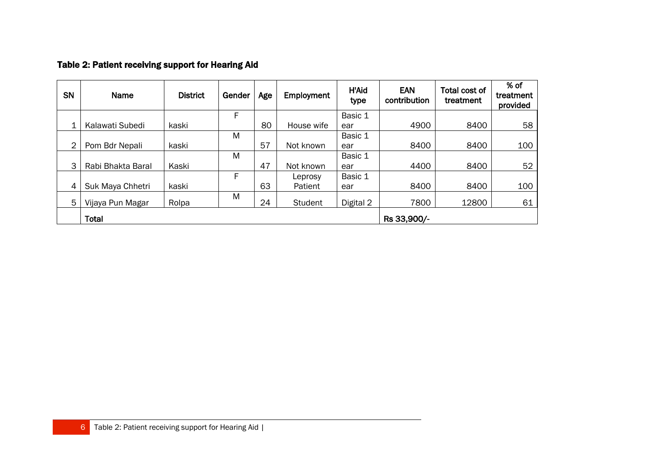### Table 2: Patient receiving support for Hearing Aid

| SN | Name              | <b>District</b> | Gender | Age | Employment     | <b>H'Aid</b><br>type | <b>EAN</b><br>contribution | Total cost of<br>treatment | $%$ of<br>treatment<br>provided |
|----|-------------------|-----------------|--------|-----|----------------|----------------------|----------------------------|----------------------------|---------------------------------|
|    |                   |                 | F      |     |                | Basic 1              |                            |                            |                                 |
| 1  | Kalawati Subedi   | kaski           |        | 80  | House wife     | ear                  | 4900                       | 8400                       | 58                              |
|    |                   |                 | M      |     |                | Basic 1              |                            |                            |                                 |
| 2  | Pom Bdr Nepali    | kaski           |        | 57  | Not known      | ear                  | 8400                       | 8400                       | 100                             |
|    |                   |                 | M      |     |                | Basic 1              |                            |                            |                                 |
| 3  | Rabi Bhakta Baral | Kaski           |        | 47  | Not known      | ear                  | 4400                       | 8400                       | 52                              |
|    |                   |                 | F      |     | Leprosy        | Basic 1              |                            |                            |                                 |
| 4  | Suk Maya Chhetri  | kaski           |        | 63  | Patient        | ear                  | 8400                       | 8400                       | 100                             |
| 5  | Vijaya Pun Magar  | Rolpa           | M      | 24  | <b>Student</b> | Digital 2            | 7800                       | 12800                      | 61                              |
|    | Total             |                 |        |     |                |                      | Rs 33,900/-                |                            |                                 |